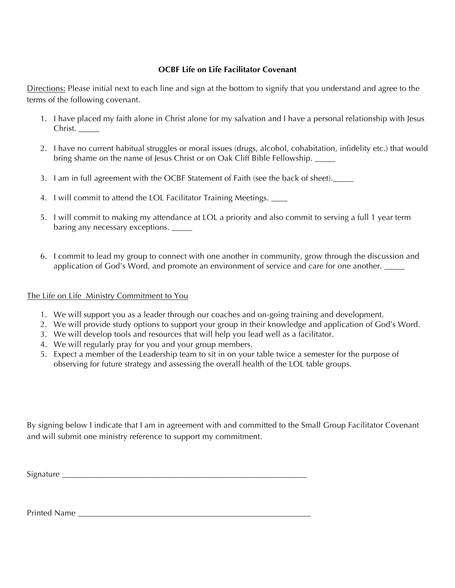# **OCBF Life on Life Facilitator Covenant**

Directions: Please initial next to each line and sign at the bottom to signify that you understand and agree to the terms of the following covenant.

- 1. I have placed my faith alone in Christ alone for my salvation and I have a personal relationship with Jesus  $Christ.$
- 2. I have no current habitual struggles or moral issues (drugs, alcohol, cohabitation, infidelity etc.) that would bring shame on the name of Jesus Christ or on Oak Cliff Bible Fellowship. \_\_\_\_\_
- 3. I am in full agreement with the OCBF Statement of Faith (see the back of sheet).\_\_\_\_\_
- 4. I will commit to attend the LOL Facilitator Training Meetings.
- 5. I will commit to making my attendance at LOL a priority and also commit to serving a full 1 year term baring any necessary exceptions. \_\_\_\_\_
- 6. I commit to lead my group to connect with one another in community, grow through the discussion and application of God's Word, and promote an environment of service and care for one another.

#### The Life on Life Ministry Commitment to You

- 1. We will support you as a leader through our coaches and on-going training and development.
- 2. We will provide study options to support your group in their knowledge and application of God's Word.
- 3. We will develop tools and resources that will help you lead well as a facilitator.
- 4. We will regularly pray for you and your group members.
- 5. Expect a member of the Leadership team to sit in on your table twice a semester for the purpose of observing for future strategy and assessing the overall health of the LOL table groups.

By signing below I indicate that I am in agreement with and committed to the Small Group Facilitator Covenant and will submit one ministry reference to support my commitment.

 $Signature \_\_$ 

Printed Name \_\_\_\_\_\_\_\_\_\_\_\_\_\_\_\_\_\_\_\_\_\_\_\_\_\_\_\_\_\_\_\_\_\_\_\_\_\_\_\_\_\_\_\_\_\_\_\_\_\_\_\_\_\_\_\_\_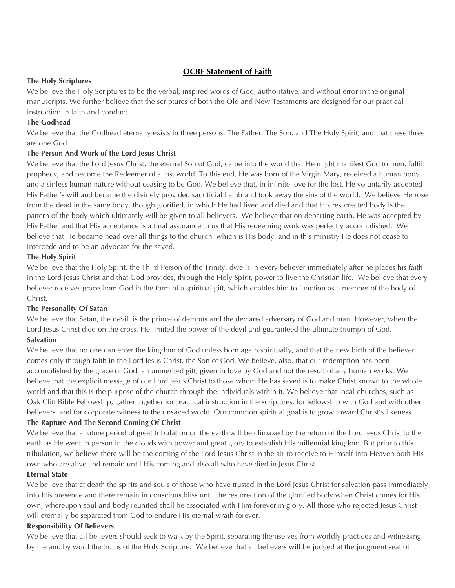# **OCBF Statement of Faith**

#### **The Holy Scriptures**

We believe the Holy Scriptures to be the verbal, inspired words of God, authoritative, and without error in the original manuscripts. We further believe that the scriptures of both the Old and New Testaments are designed for our practical instruction in faith and conduct.

### **The Godhead**

We believe that the Godhead eternally exists in three persons: The Father, The Son, and The Holy Spirit; and that these three are one God.

## **The Person And Work of the Lord Jesus Christ**

We believe that the Lord Jesus Christ, the eternal Son of God, came into the world that He might manifest God to men, fulfill prophecy, and become the Redeemer of a lost world. To this end, He was born of the Virgin Mary, received a human body and a sinless human nature without ceasing to be God. We believe that, in infinite love for the lost, He voluntarily accepted His Father's will and became the divinely provided sacrificial Lamb and took away the sins of the world. We believe He rose from the dead in the same body, though glorified, in which He had lived and died and that His resurrected body is the pattern of the body which ultimately will be given to all believers. We believe that on departing earth, He was accepted by His Father and that His acceptance is a final assurance to us that His redeeming work was perfectly accomplished. We believe that He became head over all things to the church, which is His body, and in this ministry He does not cease to intercede and to be an advocate for the saved.

### **The Holy Spirit**

We believe that the Holy Spirit, the Third Person of the Trinity, dwells in every believer immediately after he places his faith in the Lord Jesus Christ and that God provides, through the Holy Spirit, power to live the Christian life. We believe that every believer receives grace from God in the form of a spiritual gift, which enables him to function as a member of the body of Christ.

### **The Personality Of Satan**

We believe that Satan, the devil, is the prince of demons and the declared adversary of God and man. However, when the Lord Jesus Christ died on the cross, He limited the power of the devil and guaranteed the ultimate triumph of God.

## **Salvation**

We believe that no one can enter the kingdom of God unless born again spiritually, and that the new birth of the believer comes only through faith in the Lord Jesus Christ, the Son of God. We believe, also, that our redemption has been accomplished by the grace of God, an unmerited gift, given in love by God and not the result of any human works. We believe that the explicit message of our Lord Jesus Christ to those whom He has saved is to make Christ known to the whole world and that this is the purpose of the church through the individuals within it. We believe that local churches, such as Oak Cliff Bible Fellowship, gather together for practical instruction in the scriptures, for fellowship with God and with other believers, and for corporate witness to the unsaved world. Our common spiritual goal is to grow toward Christ's likeness.

### **The Rapture And The Second Coming Of Christ**

We believe that a future period of great tribulation on the earth will be climaxed by the return of the Lord Jesus Christ to the earth as He went in person in the clouds with power and great glory to establish His millennial kingdom. But prior to this tribulation, we believe there will be the coming of the Lord Jesus Christ in the air to receive to Himself into Heaven both His own who are alive and remain until His coming and also all who have died in Jesus Christ.

### **Eternal State**

We believe that at death the spirits and souls of those who have trusted in the Lord Jesus Christ for salvation pass immediately into His presence and there remain in conscious bliss until the resurrection of the glorified body when Christ comes for His own, whereupon soul and body reunited shall be associated with Him forever in glory. All those who rejected Jesus Christ will eternally be separated from God to endure His eternal wrath forever.

#### **Responsibility Of Believers**

We believe that all believers should seek to walk by the Spirit, separating themselves from worldly practices and witnessing by life and by word the truths of the Holy Scripture. We believe that all believers will be judged at the judgment seat of